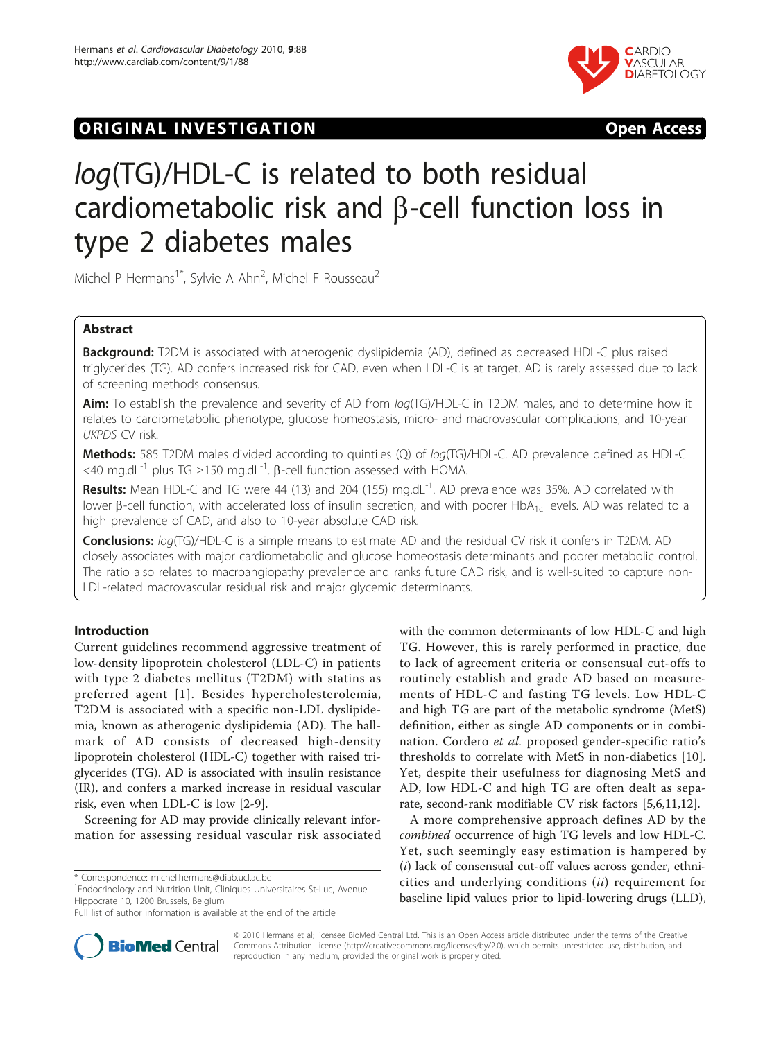# ORIGINAL INVESTIGATION **OPEN ACCESS**



# log(TG)/HDL-C is related to both residual cardiometabolic risk and  $\beta$ -cell function loss in type 2 diabetes males

Michel P Hermans<sup>1\*</sup>, Sylvie A Ahn<sup>2</sup>, Michel F Rousseau<sup>2</sup>

# Abstract

Background: T2DM is associated with atherogenic dyslipidemia (AD), defined as decreased HDL-C plus raised triglycerides (TG). AD confers increased risk for CAD, even when LDL-C is at target. AD is rarely assessed due to lack of screening methods consensus.

Aim: To establish the prevalence and severity of AD from log(TG)/HDL-C in T2DM males, and to determine how it relates to cardiometabolic phenotype, glucose homeostasis, micro- and macrovascular complications, and 10-year UKPDS CV risk.

Methods: 585 T2DM males divided according to quintiles (Q) of log(TG)/HDL-C. AD prevalence defined as HDL-C  $<$ 40 mg.dL<sup>-1</sup> plus TG ≥150 mg.dL<sup>-1</sup>. β-cell function assessed with HOMA.

Results: Mean HDL-C and TG were 44 (13) and 204 (155) mg.dL<sup>-1</sup>. AD prevalence was 35%. AD correlated with lower B-cell function, with accelerated loss of insulin secretion, and with poorer HbA<sub>1c</sub> levels. AD was related to a high prevalence of CAD, and also to 10-year absolute CAD risk.

**Conclusions:** log(TG)/HDL-C is a simple means to estimate AD and the residual CV risk it confers in T2DM. AD closely associates with major cardiometabolic and glucose homeostasis determinants and poorer metabolic control. The ratio also relates to macroangiopathy prevalence and ranks future CAD risk, and is well-suited to capture non-LDL-related macrovascular residual risk and major glycemic determinants.

# Introduction

Current guidelines recommend aggressive treatment of low-density lipoprotein cholesterol (LDL-C) in patients with type 2 diabetes mellitus (T2DM) with statins as preferred agent [[1](#page-7-0)]. Besides hypercholesterolemia, T2DM is associated with a specific non-LDL dyslipidemia, known as atherogenic dyslipidemia (AD). The hallmark of AD consists of decreased high-density lipoprotein cholesterol (HDL-C) together with raised triglycerides (TG). AD is associated with insulin resistance (IR), and confers a marked increase in residual vascular risk, even when LDL-C is low [[2](#page-7-0)[-9](#page-8-0)].

Screening for AD may provide clinically relevant information for assessing residual vascular risk associated

\* Correspondence: [michel.hermans@diab.ucl.ac.be](mailto:michel.hermans@diab.ucl.ac.be)

<sup>1</sup> Endocrinology and Nutrition Unit, Cliniques Universitaires St-Luc, Avenue Hippocrate 10, 1200 Brussels, Belgium

with the common determinants of low HDL-C and high TG. However, this is rarely performed in practice, due to lack of agreement criteria or consensual cut-offs to routinely establish and grade AD based on measurements of HDL-C and fasting TG levels. Low HDL-C and high TG are part of the metabolic syndrome (MetS) definition, either as single AD components or in combination. Cordero et al. proposed gender-specific ratio's thresholds to correlate with MetS in non-diabetics [\[10](#page-8-0)]. Yet, despite their usefulness for diagnosing MetS and AD, low HDL-C and high TG are often dealt as separate, second-rank modifiable CV risk factors [\[5,6](#page-7-0)[,11,12\]](#page-8-0).

A more comprehensive approach defines AD by the combined occurrence of high TG levels and low HDL-C. Yet, such seemingly easy estimation is hampered by  $(i)$  lack of consensual cut-off values across gender, ethnicities and underlying conditions (ii) requirement for baseline lipid values prior to lipid-lowering drugs (LLD),



© 2010 Hermans et al; licensee BioMed Central Ltd. This is an Open Access article distributed under the terms of the Creative Commons Attribution License [\(http://creativecommons.org/licenses/by/2.0](http://creativecommons.org/licenses/by/2.0)), which permits unrestricted use, distribution, and reproduction in any medium, provided the original work is properly cited.

Full list of author information is available at the end of the article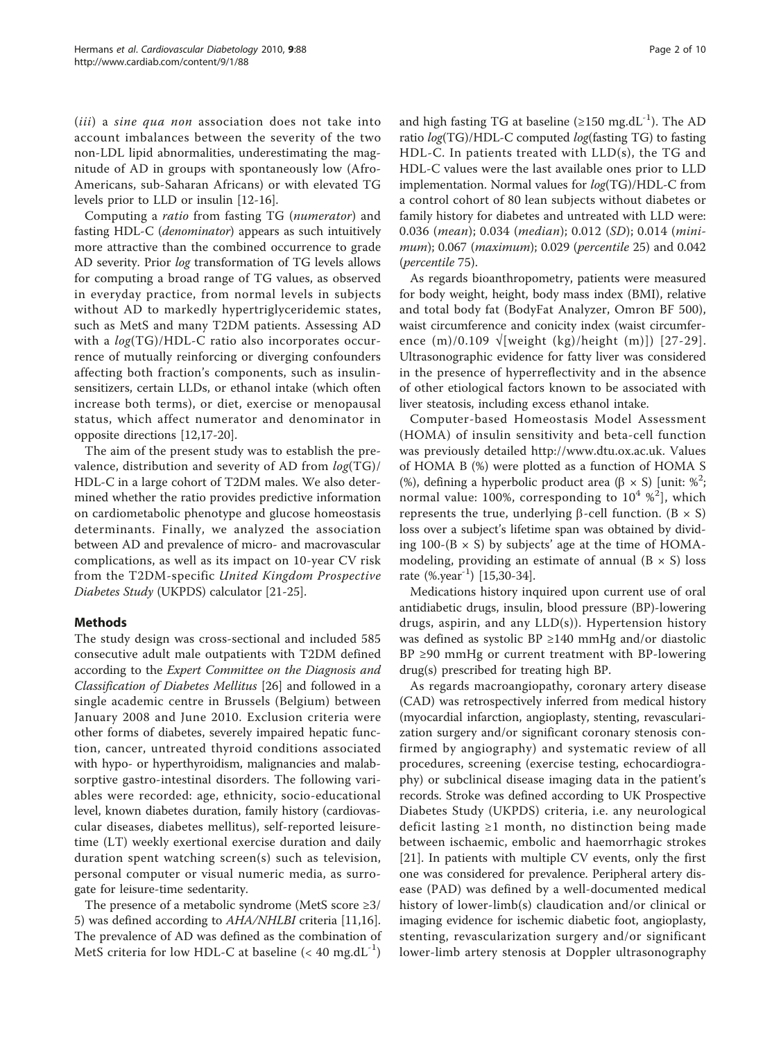(*iii*) a *sine qua non* association does not take into account imbalances between the severity of the two non-LDL lipid abnormalities, underestimating the magnitude of AD in groups with spontaneously low (Afro-Americans, sub-Saharan Africans) or with elevated TG levels prior to LLD or insulin [\[12-16](#page-8-0)].

Computing a ratio from fasting TG (numerator) and fasting HDL-C (denominator) appears as such intuitively more attractive than the combined occurrence to grade AD severity. Prior log transformation of TG levels allows for computing a broad range of TG values, as observed in everyday practice, from normal levels in subjects without AD to markedly hypertriglyceridemic states, such as MetS and many T2DM patients. Assessing AD with a  $log(TG)/HDL-C$  ratio also incorporates occurrence of mutually reinforcing or diverging confounders affecting both fraction's components, such as insulinsensitizers, certain LLDs, or ethanol intake (which often increase both terms), or diet, exercise or menopausal status, which affect numerator and denominator in opposite directions [[12,17-20\]](#page-8-0).

The aim of the present study was to establish the prevalence, distribution and severity of AD from  $log(TG)/$ HDL-C in a large cohort of T2DM males. We also determined whether the ratio provides predictive information on cardiometabolic phenotype and glucose homeostasis determinants. Finally, we analyzed the association between AD and prevalence of micro- and macrovascular complications, as well as its impact on 10-year CV risk from the T2DM-specific United Kingdom Prospective Diabetes Study (UKPDS) calculator [[21](#page-8-0)-[25\]](#page-8-0).

# Methods

The study design was cross-sectional and included 585 consecutive adult male outpatients with T2DM defined according to the Expert Committee on the Diagnosis and Classification of Diabetes Mellitus [[26](#page-8-0)] and followed in a single academic centre in Brussels (Belgium) between January 2008 and June 2010. Exclusion criteria were other forms of diabetes, severely impaired hepatic function, cancer, untreated thyroid conditions associated with hypo- or hyperthyroidism, malignancies and malabsorptive gastro-intestinal disorders. The following variables were recorded: age, ethnicity, socio-educational level, known diabetes duration, family history (cardiovascular diseases, diabetes mellitus), self-reported leisuretime (LT) weekly exertional exercise duration and daily duration spent watching screen(s) such as television, personal computer or visual numeric media, as surrogate for leisure-time sedentarity.

The presence of a metabolic syndrome (MetS score ≥3/ 5) was defined according to AHA/NHLBI criteria [\[11,16](#page-8-0)]. The prevalence of AD was defined as the combination of MetS criteria for low HDL-C at baseline  $(< 40 \text{ mg.dL}^{-1})$  and high fasting TG at baseline ( $\geq 150$  mg.dL<sup>-1</sup>). The AD ratio log(TG)/HDL-C computed log(fasting TG) to fasting HDL-C. In patients treated with LLD(s), the TG and HDL-C values were the last available ones prior to LLD implementation. Normal values for log(TG)/HDL-C from a control cohort of 80 lean subjects without diabetes or family history for diabetes and untreated with LLD were: 0.036 (mean); 0.034 (median); 0.012 (SD); 0.014 (minimum); 0.067 (maximum); 0.029 (percentile 25) and 0.042 (percentile 75).

As regards bioanthropometry, patients were measured for body weight, height, body mass index (BMI), relative and total body fat (BodyFat Analyzer, Omron BF 500), waist circumference and conicity index (waist circumference  $(m)/0.109 \sqrt{$ weight  $(kg)/$ height  $(m)$ ]) [[27](#page-8-0)-[29\]](#page-8-0). Ultrasonographic evidence for fatty liver was considered in the presence of hyperreflectivity and in the absence of other etiological factors known to be associated with liver steatosis, including excess ethanol intake.

Computer-based Homeostasis Model Assessment (HOMA) of insulin sensitivity and beta-cell function was previously detailed<http://www.dtu.ox.ac.uk>. Values of HOMA B (%) were plotted as a function of HOMA S (%), defining a hyperbolic product area  $(\beta \times S)$  [unit:  $\frac{6^2}{3}$ ] which normal value: 100%, corresponding to  $10^4$  %<sup>2</sup>], which represents the true, underlying  $\beta$ -cell function. (B  $\times$  S) loss over a subject's lifetime span was obtained by dividing 100-( $B \times S$ ) by subjects' age at the time of HOMAmodeling, providing an estimate of annual  $(B \times S)$  loss rate  $(\%.\text{year}^{-1})$  [\[15,30-34](#page-8-0)].

Medications history inquired upon current use of oral antidiabetic drugs, insulin, blood pressure (BP)-lowering drugs, aspirin, and any LLD(s)). Hypertension history was defined as systolic BP ≥140 mmHg and/or diastolic BP ≥90 mmHg or current treatment with BP-lowering drug(s) prescribed for treating high BP.

As regards macroangiopathy, coronary artery disease (CAD) was retrospectively inferred from medical history (myocardial infarction, angioplasty, stenting, revascularization surgery and/or significant coronary stenosis confirmed by angiography) and systematic review of all procedures, screening (exercise testing, echocardiography) or subclinical disease imaging data in the patient's records. Stroke was defined according to UK Prospective Diabetes Study (UKPDS) criteria, i.e. any neurological deficit lasting ≥1 month, no distinction being made between ischaemic, embolic and haemorrhagic strokes [[21](#page-8-0)]. In patients with multiple CV events, only the first one was considered for prevalence. Peripheral artery disease (PAD) was defined by a well-documented medical history of lower-limb(s) claudication and/or clinical or imaging evidence for ischemic diabetic foot, angioplasty, stenting, revascularization surgery and/or significant lower-limb artery stenosis at Doppler ultrasonography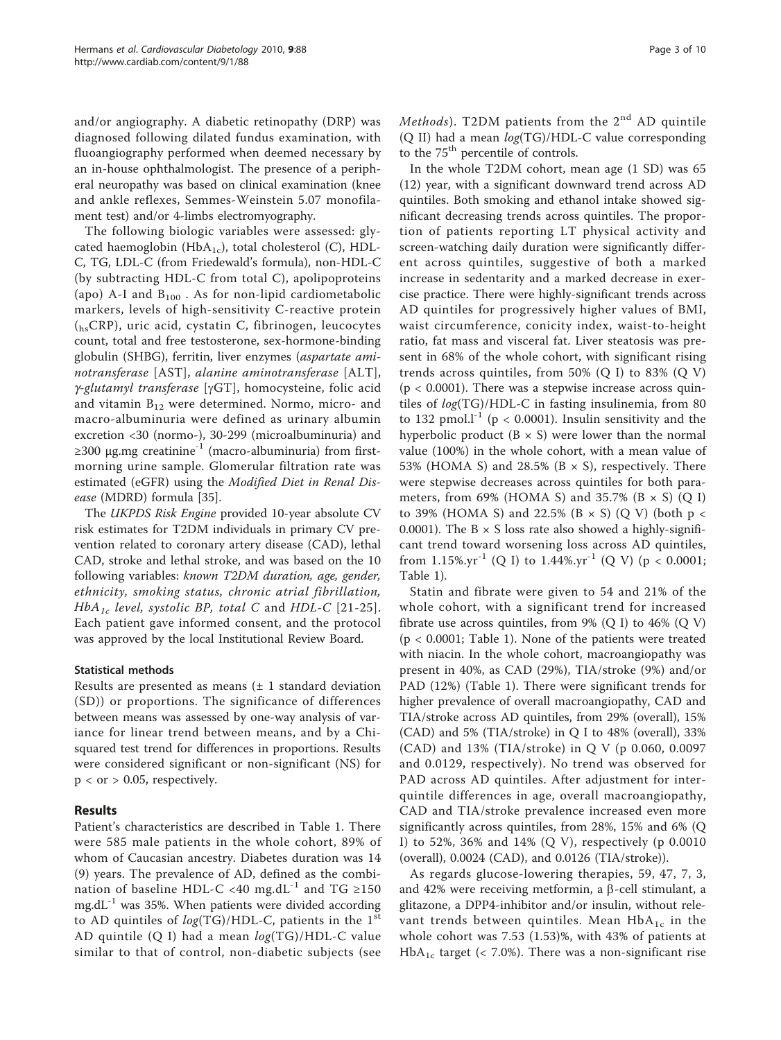and/or angiography. A diabetic retinopathy (DRP) was diagnosed following dilated fundus examination, with fluoangiography performed when deemed necessary by an in-house ophthalmologist. The presence of a peripheral neuropathy was based on clinical examination (knee and ankle reflexes, Semmes-Weinstein 5.07 monofilament test) and/or 4-limbs electromyography.

The following biologic variables were assessed: glycated haemoglobin (Hb $A_{1c}$ ), total cholesterol (C), HDL-C, TG, LDL-C (from Friedewald's formula), non-HDL-C (by subtracting HDL-C from total C), apolipoproteins (apo) A-I and  $B_{100}$ . As for non-lipid cardiometabolic markers, levels of high-sensitivity C-reactive protein (hsCRP), uric acid, cystatin C, fibrinogen, leucocytes count, total and free testosterone, sex-hormone-binding globulin (SHBG), ferritin, liver enzymes (aspartate aminotransferase [AST], alanine aminotransferase [ALT],  $\gamma$ -glutamyl transferase [ $\gamma$ GT], homocysteine, folic acid and vitamin  $B_{12}$  were determined. Normo, micro- and macro-albuminuria were defined as urinary albumin excretion <30 (normo-), 30-299 (microalbuminuria) and  $\geq$ 300 μg.mg creatinine<sup>-1</sup> (macro-albuminuria) from firstmorning urine sample. Glomerular filtration rate was estimated (eGFR) using the Modified Diet in Renal Disease (MDRD) formula [[35\]](#page-8-0).

The UKPDS Risk Engine provided 10-year absolute CV risk estimates for T2DM individuals in primary CV prevention related to coronary artery disease (CAD), lethal CAD, stroke and lethal stroke, and was based on the 10 following variables: known T2DM duration, age, gender, ethnicity, smoking status, chronic atrial fibrillation,  $HbA_{1c}$  level, systolic BP, total C and HDL-C [[21](#page-8-0)-[25\]](#page-8-0). Each patient gave informed consent, and the protocol was approved by the local Institutional Review Board.

# Statistical methods

Results are presented as means  $(\pm 1)$  standard deviation (SD)) or proportions. The significance of differences between means was assessed by one-way analysis of variance for linear trend between means, and by a Chisquared test trend for differences in proportions. Results were considered significant or non-significant (NS) for  $p < or$  > 0.05, respectively.

# Results

Patient's characteristics are described in Table [1](#page-3-0). There were 585 male patients in the whole cohort, 89% of whom of Caucasian ancestry. Diabetes duration was 14 (9) years. The prevalence of AD, defined as the combination of baseline HDL-C <40 mg.dL<sup>-1</sup> and TG ≥150  $mg \cdot dL^{-1}$  was 35%. When patients were divided according to AD quintiles of  $log(TG)/HDL-C$ , patients in the 1st AD quintile (Q I) had a mean log(TG)/HDL-C value similar to that of control, non-diabetic subjects (see Methods). T2DM patients from the  $2<sup>nd</sup>$  AD quintile (Q II) had a mean log(TG)/HDL-C value corresponding to the  $75<sup>th</sup>$  percentile of controls.

In the whole T2DM cohort, mean age (1 SD) was 65 (12) year, with a significant downward trend across AD quintiles. Both smoking and ethanol intake showed significant decreasing trends across quintiles. The proportion of patients reporting LT physical activity and screen-watching daily duration were significantly different across quintiles, suggestive of both a marked increase in sedentarity and a marked decrease in exercise practice. There were highly-significant trends across AD quintiles for progressively higher values of BMI, waist circumference, conicity index, waist-to-height ratio, fat mass and visceral fat. Liver steatosis was present in 68% of the whole cohort, with significant rising trends across quintiles, from 50% (Q I) to 83% (Q V)  $(p < 0.0001)$ . There was a stepwise increase across quintiles of log(TG)/HDL-C in fasting insulinemia, from 80 to 132 pmol. $l^{-1}$  (p < 0.0001). Insulin sensitivity and the hyperbolic product  $(B \times S)$  were lower than the normal value (100%) in the whole cohort, with a mean value of 53% (HOMA S) and 28.5% ( $B \times S$ ), respectively. There were stepwise decreases across quintiles for both parameters, from 69% (HOMA S) and 35.7% (B  $\times$  S) (Q I) to 39% (HOMA S) and 22.5% (B  $\times$  S) (Q V) (both p  $\lt$ 0.0001). The  $B \times S$  loss rate also showed a highly-significant trend toward worsening loss across AD quintiles, from 1.15%.yr<sup>-1</sup> (Q I) to 1.44%.yr<sup>-1</sup> (Q V) (p < 0.0001; Table [1\)](#page-3-0).

Statin and fibrate were given to 54 and 21% of the whole cohort, with a significant trend for increased fibrate use across quintiles, from  $9\%$  (Q I) to  $46\%$  (Q V) (p < 0.0001; Table [1](#page-3-0)). None of the patients were treated with niacin. In the whole cohort, macroangiopathy was present in 40%, as CAD (29%), TIA/stroke (9%) and/or PAD (12%) (Table [1](#page-3-0)). There were significant trends for higher prevalence of overall macroangiopathy, CAD and TIA/stroke across AD quintiles, from 29% (overall), 15% (CAD) and 5% (TIA/stroke) in Q I to 48% (overall), 33% (CAD) and 13% (TIA/stroke) in Q V (p 0.060, 0.0097 and 0.0129, respectively). No trend was observed for PAD across AD quintiles. After adjustment for interquintile differences in age, overall macroangiopathy, CAD and TIA/stroke prevalence increased even more significantly across quintiles, from 28%, 15% and 6% (Q I) to 52%, 36% and 14% (Q V), respectively (p 0.0010 (overall), 0.0024 (CAD), and 0.0126 (TIA/stroke)).

As regards glucose-lowering therapies, 59, 47, 7, 3, and 42% were receiving metformin, a  $\beta$ -cell stimulant, a glitazone, a DPP4-inhibitor and/or insulin, without relevant trends between quintiles. Mean  $HbA_{1c}$  in the whole cohort was 7.53 (1.53)%, with 43% of patients at  $HbA_{1c}$  target (< 7.0%). There was a non-significant rise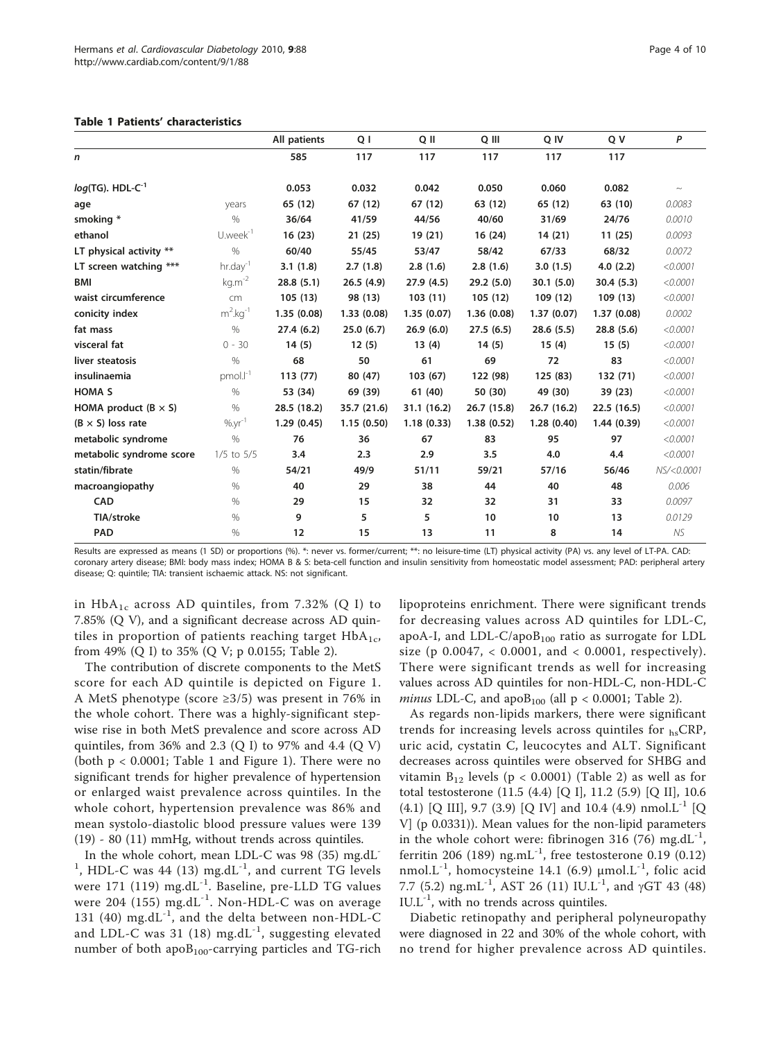#### <span id="page-3-0"></span>Table 1 Patients' characteristics

|                                                       |                         | All patients | Q I         | Q II        | Q III       | Q IV       | Q V        | P          |
|-------------------------------------------------------|-------------------------|--------------|-------------|-------------|-------------|------------|------------|------------|
| n                                                     |                         | 585          | 117         | 117         | 117         | 117        | 117        |            |
| log(TG). $\mathsf{HDL}\text{-}\mathsf{C}^{\text{-}1}$ |                         | 0.053        | 0.032       | 0.042       | 0.050       | 0.060      | 0.082      | $\sim$     |
| age                                                   | years                   | 65 (12)      | 67 (12)     | 67 (12)     | 63 (12)     | 65 (12)    | 63 (10)    | 0.0083     |
| smoking *                                             | $\%$                    | 36/64        | 41/59       | 44/56       | 40/60       | 31/69      | 24/76      | 0.0010     |
| ethanol                                               | $U.week^{-1}$           | 16(23)       | 21(25)      | 19 (21)     | 16(24)      | 14(21)     | 11(25)     | 0.0093     |
| LT physical activity **                               | $\%$                    | 60/40        | 55/45       | 53/47       | 58/42       | 67/33      | 68/32      | 0.0072     |
| LT screen watching ***                                | $hr.$ day <sup>-1</sup> | 3.1(1.8)     | 2.7(1.8)    | 2.8(1.6)    | 2.8(1.6)    | 3.0(1.5)   | 4.0(2.2)   | < 0.0001   |
| BMI                                                   | $kg.m^{-2}$             | 28.8(5.1)    | 26.5(4.9)   | 27.9(4.5)   | 29.2(5.0)   | 30.1(5.0)  | 30.4(5.3)  | < 0.0001   |
| waist circumference                                   | cm                      | 105(13)      | 98 (13)     | 103(11)     | 105(12)     | 109 (12)   | 109(13)    | < 0.0001   |
| conicity index                                        | $m^2$ .kg <sup>-1</sup> | 1.35(0.08)   | 1.33(0.08)  | 1.35(0.07)  | 1.36(0.08)  | 1.37(0.07) | 1.37(0.08) | 0.0002     |
| fat mass                                              | $\%$                    | 27.4(6.2)    | 25.0(6.7)   | 26.9(6.0)   | 27.5(6.5)   | 28.6(5.5)  | 28.8(5.6)  | < 0.0001   |
| visceral fat                                          | $0 - 30$                | 14(5)        | 12(5)       | 13(4)       | 14(5)       | 15(4)      | 15(5)      | < 0.0001   |
| liver steatosis                                       | $\frac{0}{0}$           | 68           | 50          | 61          | 69          | 72         | 83         | < 0.0001   |
| insulinaemia                                          | $pmol.l-1$              | 113(77)      | 80 (47)     | 103(67)     | 122 (98)    | 125(83)    | 132 (71)   | < 0.0001   |
| <b>HOMA S</b>                                         | $\%$                    | 53 (34)      | 69 (39)     | 61 (40)     | 50 (30)     | 49 (30)    | 39 (23)    | < 0.0001   |
| HOMA product $(B \times S)$                           | $\%$                    | 28.5 (18.2)  | 35.7 (21.6) | 31.1 (16.2) | 26.7 (15.8) | 26.7(16.2) | 22.5(16.5) | < 0.0001   |
| $(B \times S)$ loss rate                              | $%yr^{-1}$              | 1.29(0.45)   | 1.15(0.50)  | 1.18(0.33)  | 1.38(0.52)  | 1.28(0.40) | 1.44(0.39) | < 0.0001   |
| metabolic syndrome                                    | $\%$                    | 76           | 36          | 67          | 83          | 95         | 97         | < 0.0001   |
| metabolic syndrome score                              | $1/5$ to $5/5$          | 3.4          | 2.3         | 2.9         | 3.5         | 4.0        | 4.4        | < 0.0001   |
| statin/fibrate                                        | $\%$                    | 54/21        | 49/9        | 51/11       | 59/21       | 57/16      | 56/46      | NS/<0.0001 |
| macroangiopathy                                       | $\%$                    | 40           | 29          | 38          | 44          | 40         | 48         | 0.006      |
| CAD                                                   | $\%$                    | 29           | 15          | 32          | 32          | 31         | 33         | 0.0097     |
| TIA/stroke                                            | $\%$                    | 9            | 5           | 5           | 10          | 10         | 13         | 0.0129     |
|                                                       |                         |              |             |             |             |            |            |            |

Results are expressed as means (1 SD) or proportions (%). \*: never vs. former/current; \*\*: no leisure-time (LT) physical activity (PA) vs. any level of LT-PA. CAD: coronary artery disease; BMI: body mass index; HOMA B & S: beta-cell function and insulin sensitivity from homeostatic model assessment; PAD: peripheral artery disease; Q: quintile; TIA: transient ischaemic attack. NS: not significant.

PAD % 12 15 13 11 8 14 NS

in  $HbA_{1c}$  across AD quintiles, from 7.32% (Q I) to 7.85% (Q V), and a significant decrease across AD quintiles in proportion of patients reaching target  $HbA_{1c}$ , from 49% (Q I) to 35% (Q V; p 0.0155; Table [2](#page-4-0)).

The contribution of discrete components to the MetS score for each AD quintile is depicted on Figure [1](#page-5-0). A MetS phenotype (score ≥3/5) was present in 76% in the whole cohort. There was a highly-significant stepwise rise in both MetS prevalence and score across AD quintiles, from 36% and 2.3 (Q I) to 97% and 4.4 (Q V) (both  $p < 0.0001$ ; Table [1](#page-5-0) and Figure 1). There were no significant trends for higher prevalence of hypertension or enlarged waist prevalence across quintiles. In the whole cohort, hypertension prevalence was 86% and mean systolo-diastolic blood pressure values were 139 (19) - 80 (11) mmHg, without trends across quintiles.

In the whole cohort, mean LDL-C was 98 (35) mg.dL- $<sup>1</sup>$ , HDL-C was 44 (13) mg.dL $<sup>-1</sup>$ , and current TG levels</sup></sup> were 171 (119)  $mg.dL^{-1}$ . Baseline, pre-LLD TG values were 204 (155)  $mg.dL^{-1}$ . Non-HDL-C was on average 131 (40) mg. $dL^{-1}$ , and the delta between non-HDL-C and LDL-C was 31 (18) mg.dL $^{-1}$ , suggesting elevated number of both apo $B_{100}$ -carrying particles and TG-rich

lipoproteins enrichment. There were significant trends for decreasing values across AD quintiles for LDL-C, apoA-I, and LDL-C/apo $B_{100}$  ratio as surrogate for LDL size (p 0.0047, < 0.0001, and < 0.0001, respectively). There were significant trends as well for increasing values across AD quintiles for non-HDL-C, non-HDL-C minus LDL-C, and apo $B_{100}$  (all  $p < 0.0001$ ; Table [2](#page-4-0)).

As regards non-lipids markers, there were significant trends for increasing levels across quintiles for hsCRP, uric acid, cystatin C, leucocytes and ALT. Significant decreases across quintiles were observed for SHBG and vitamin  $B_{12}$  levels (p < 0.0001) (Table [2](#page-4-0)) as well as for total testosterone (11.5 (4.4) [Q I], 11.2 (5.9) [Q II], 10.6  $(4.1)$  [Q III], 9.7 (3.9) [Q IV] and 10.4 (4.9) nmol.L<sup>-1</sup> [Q V] (p 0.0331)). Mean values for the non-lipid parameters in the whole cohort were: fibrinogen 316 (76) mg.dL<sup>-1</sup>, ferritin 206 (189)  $ng.mL^{-1}$ , free testosterone 0.19 (0.12) nmol.L<sup>-1</sup>, homocysteine 14.1 (6.9)  $\mu$ mol.L<sup>-1</sup>, folic acid 7.7 (5.2) ng.mL<sup>-1</sup>, AST 26 (11) IU.L<sup>-1</sup>, and  $\gamma$ GT 43 (48)  $IUL^{-1}$ , with no trends across quintiles.

Diabetic retinopathy and peripheral polyneuropathy were diagnosed in 22 and 30% of the whole cohort, with no trend for higher prevalence across AD quintiles.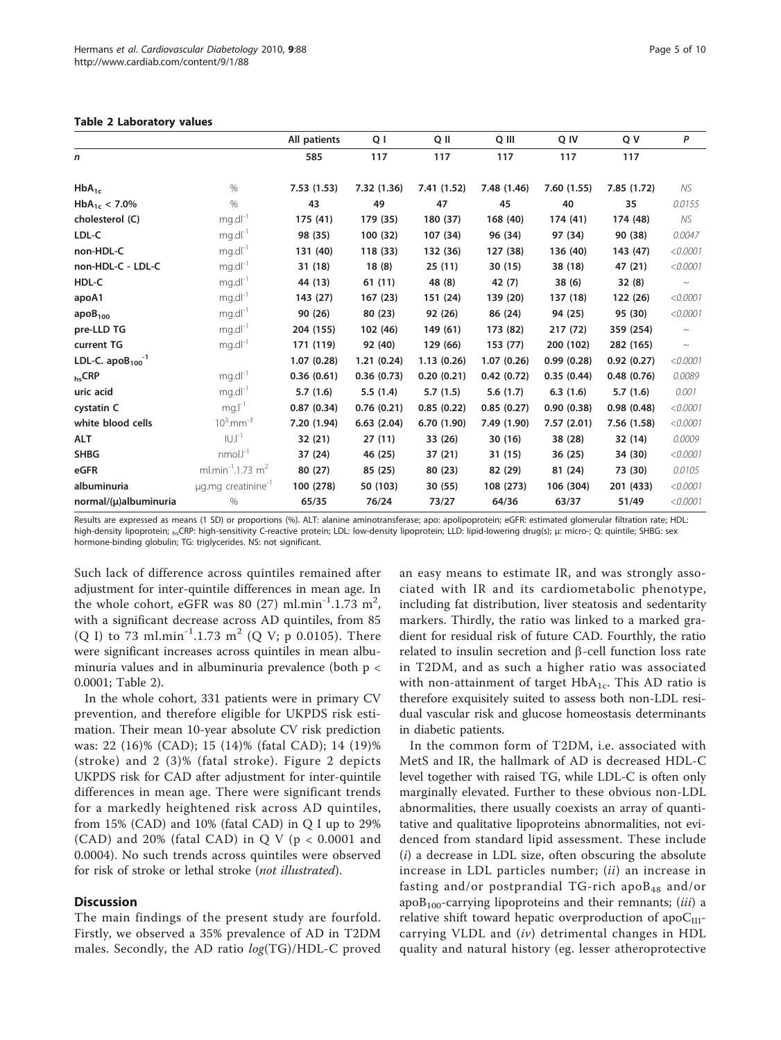<span id="page-4-0"></span>

| Table 2 Laboratory values |  |  |  |  |  |  |
|---------------------------|--|--|--|--|--|--|
|---------------------------|--|--|--|--|--|--|

|                            |                                           | All patients | Q I         | Q II        | Q III       | Q IV       | Q V         | P        |
|----------------------------|-------------------------------------------|--------------|-------------|-------------|-------------|------------|-------------|----------|
| $\mathsf{n}$               |                                           | 585          | 117         | 117         | 117         | 117        | 117         |          |
| $HbA_{1c}$                 | $\%$                                      | 7.53(1.53)   | 7.32 (1.36) | 7.41 (1.52) | 7.48 (1.46) | 7.60(1.55) | 7.85 (1.72) | NS.      |
| $HbA_{1c}$ < 7.0%          | $\%$                                      | 43           | 49          | 47          | 45          | 40         | 35          | 0.0155   |
| cholesterol (C)            | $mg.dI^{-1}$                              | 175(41)      | 179 (35)    | 180 (37)    | 168 (40)    | 174 (41)   | 174 (48)    | NS       |
| LDL-C                      | $mg.dI^{-1}$                              | 98 (35)      | 100 (32)    | 107 (34)    | 96 (34)     | 97 (34)    | 90 (38)     | 0.0047   |
| non-HDL-C                  | $mg.dI^{-1}$                              | 131 (40)     | 118 (33)    | 132 (36)    | 127 (38)    | 136 (40)   | 143 (47)    | < 0.0001 |
| non-HDL-C - LDL-C          | $mg.dI^{-1}$                              | 31 (18)      | 18(8)       | 25(11)      | 30 (15)     | 38 (18)    | 47 (21)     | < 0.0001 |
| HDL-C                      | $mg.dI^{-1}$                              | 44 (13)      | 61(11)      | 48 (8)      | 42 (7)      | 38(6)      | 32(8)       | $\sim$   |
| apoA1                      | $mg.dI^{-1}$                              | 143 (27)     | 167(23)     | 151 (24)    | 139 (20)    | 137 (18)   | 122 (26)    | < 0.0001 |
| apoB <sub>100</sub>        | $mg.dI^{-1}$                              | 90 (26)      | 80 (23)     | 92 (26)     | 86 (24)     | 94 (25)    | 95 (30)     | < 0.0001 |
| pre-LLD TG                 | $mg.dI^{-1}$                              | 204 (155)    | 102 (46)    | 149 (61)    | 173 (82)    | 217 (72)   | 359 (254)   | $\sim$   |
| current TG                 | $mg.dI^{-1}$                              | 171 (119)    | 92 (40)     | 129 (66)    | 153 (77)    | 200 (102)  | 282 (165)   | $\sim$   |
| LDL-C. $apoB_{100}^{-1}$   |                                           | 1.07(0.28)   | 1.21(0.24)  | 1.13(0.26)  | 1.07(0.26)  | 0.99(0.28) | 0.92(0.27)  | < 0.0001 |
| <b>hsCRP</b>               | $mg.dI^{-1}$                              | 0.36(0.61)   | 0.36(0.73)  | 0.20(0.21)  | 0.42(0.72)  | 0.35(0.44) | 0.48(0.76)  | 0.0089   |
| uric acid                  | $mg.dI^{-1}$                              | 5.7(1.6)     | 5.5(1.4)    | 5.7(1.5)    | 5.6(1.7)    | 6.3(1.6)   | 5.7(1.6)    | 0.001    |
| cystatin C                 | $mg.l^{-1}$                               | 0.87(0.34)   | 0.76(0.21)  | 0.85(0.22)  | 0.85(0.27)  | 0.90(0.38) | 0.98(0.48)  | < 0.0001 |
| white blood cells          | $10^3$ .mm <sup>-3</sup>                  | 7.20 (1.94)  | 6.63(2.04)  | 6.70 (1.90) | 7.49 (1.90) | 7.57(2.01) | 7.56 (1.58) | < 0.0001 |
| <b>ALT</b>                 | $ U ^{-1}$                                | 32 (21)      | 27(11)      | 33 (26)     | 30 (16)     | 38 (28)    | 32 (14)     | 0.0009   |
| <b>SHBG</b>                | $nmol.-1$                                 | 37 (24)      | 46 (25)     | 37(21)      | 31 (15)     | 36(25)     | 34 (30)     | < 0.0001 |
| eGFR                       | ml.min <sup>-1</sup> .1.73 m <sup>2</sup> | 80 (27)      | 85 (25)     | 80(23)      | 82 (29)     | 81 (24)    | 73 (30)     | 0.0105   |
| albuminuria                | $\mu$ g.mg creatinine <sup>-1</sup>       | 100 (278)    | 50 (103)    | 30(55)      | 108 (273)   | 106 (304)  | 201 (433)   | < 0.0001 |
| $normal/(\mu)$ albuminuria | $\%$                                      | 65/35        | 76/24       | 73/27       | 64/36       | 63/37      | 51/49       | < 0.0001 |

Results are expressed as means (1 SD) or proportions (%). ALT: alanine aminotransferase; apo: apolipoprotein; eGFR: estimated glomerular filtration rate; HDL: high-density lipoprotein; h<sub>s</sub>CRP: high-sensitivity C-reactive protein; LDL: low-density lipoprotein; LLD: lipid-lowering drug(s); μ: micro-; Q: quintile; SHBG: sex hormone-binding globulin; TG: triglycerides. NS: not significant.

Such lack of difference across quintiles remained after adjustment for inter-quintile differences in mean age. In the whole cohort, eGFR was 80 (27)  $\text{ml.min}^{-1}$ .1.73  $\text{m}^2$ , with a significant decrease across AD quintiles, from 85 (Q I) to 73 ml.min<sup>-1</sup>.1.73 m<sup>2</sup> (Q V; p 0.0105). There were significant increases across quintiles in mean albuminuria values and in albuminuria prevalence (both  $p <$ 0.0001; Table 2).

In the whole cohort, 331 patients were in primary CV prevention, and therefore eligible for UKPDS risk estimation. Their mean 10-year absolute CV risk prediction was: 22 (16)% (CAD); 15 (14)% (fatal CAD); 14 (19)% (stroke) and 2 (3)% (fatal stroke). Figure [2](#page-6-0) depicts UKPDS risk for CAD after adjustment for inter-quintile differences in mean age. There were significant trends for a markedly heightened risk across AD quintiles, from 15% (CAD) and 10% (fatal CAD) in Q I up to 29% (CAD) and 20% (fatal CAD) in Q V (p < 0.0001 and 0.0004). No such trends across quintiles were observed for risk of stroke or lethal stroke (not illustrated).

### **Discussion**

The main findings of the present study are fourfold. Firstly, we observed a 35% prevalence of AD in T2DM males. Secondly, the AD ratio log(TG)/HDL-C proved

an easy means to estimate IR, and was strongly associated with IR and its cardiometabolic phenotype, including fat distribution, liver steatosis and sedentarity markers. Thirdly, the ratio was linked to a marked gradient for residual risk of future CAD. Fourthly, the ratio related to insulin secretion and  $\beta$ -cell function loss rate in T2DM, and as such a higher ratio was associated with non-attainment of target  $HbA_{1c}$ . This AD ratio is therefore exquisitely suited to assess both non-LDL residual vascular risk and glucose homeostasis determinants in diabetic patients.

In the common form of T2DM, i.e. associated with MetS and IR, the hallmark of AD is decreased HDL-C level together with raised TG, while LDL-C is often only marginally elevated. Further to these obvious non-LDL abnormalities, there usually coexists an array of quantitative and qualitative lipoproteins abnormalities, not evidenced from standard lipid assessment. These include  $(i)$  a decrease in LDL size, often obscuring the absolute increase in LDL particles number; (ii) an increase in fasting and/or postprandial TG-rich apo $B_{48}$  and/or apo $B_{100}$ -carrying lipoproteins and their remnants; (iii) a relative shift toward hepatic overproduction of apo $C_{III}$ carrying VLDL and  $(iv)$  detrimental changes in HDL quality and natural history (eg. lesser atheroprotective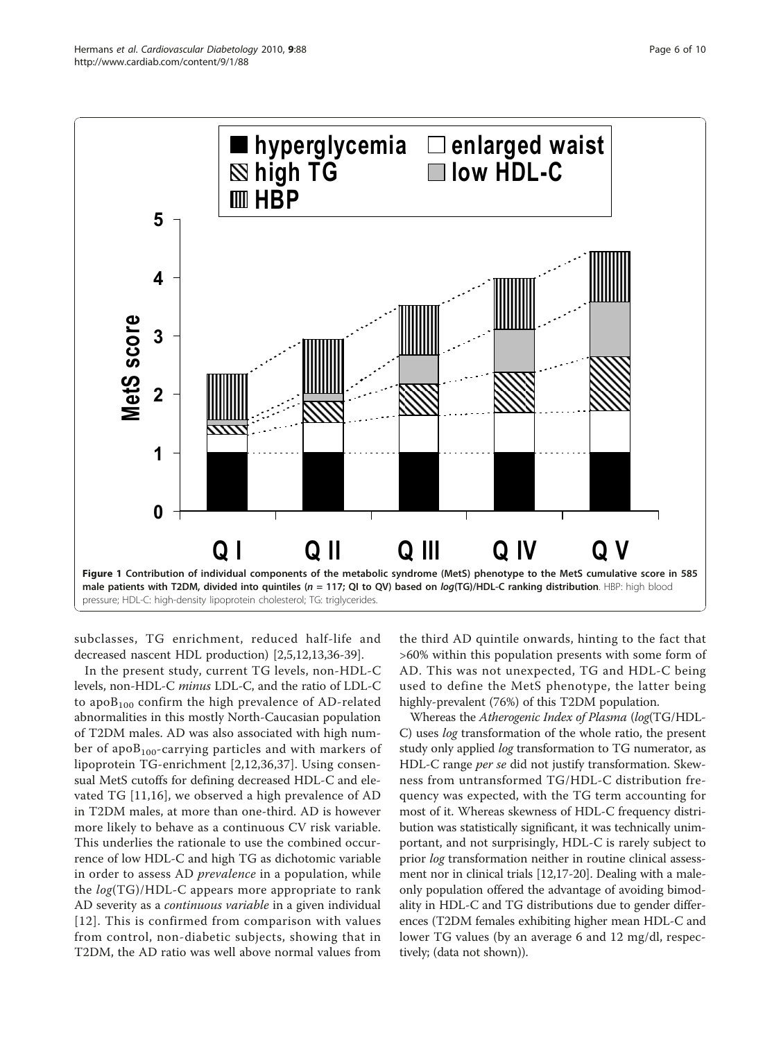<span id="page-5-0"></span>

subclasses, TG enrichment, reduced half-life and decreased nascent HDL production) [[2](#page-7-0),[5](#page-7-0),[12,13,36](#page-8-0)-[39](#page-8-0)].

In the present study, current TG levels, non-HDL-C levels, non-HDL-C minus LDL-C, and the ratio of LDL-C to apo $B_{100}$  confirm the high prevalence of AD-related abnormalities in this mostly North-Caucasian population of T2DM males. AD was also associated with high number of apo $B_{100}$ -carrying particles and with markers of lipoprotein TG-enrichment [[2](#page-7-0)[,12,36,37](#page-8-0)]. Using consensual MetS cutoffs for defining decreased HDL-C and elevated TG [\[11,16\]](#page-8-0), we observed a high prevalence of AD in T2DM males, at more than one-third. AD is however more likely to behave as a continuous CV risk variable. This underlies the rationale to use the combined occurrence of low HDL-C and high TG as dichotomic variable in order to assess AD prevalence in a population, while the  $log(TG)/HDL-C$  appears more appropriate to rank AD severity as a continuous variable in a given individual [[12\]](#page-8-0). This is confirmed from comparison with values from control, non-diabetic subjects, showing that in T2DM, the AD ratio was well above normal values from

the third AD quintile onwards, hinting to the fact that >60% within this population presents with some form of AD. This was not unexpected, TG and HDL-C being used to define the MetS phenotype, the latter being highly-prevalent (76%) of this T2DM population.

Whereas the Atherogenic Index of Plasma (log(TG/HDL-C) uses log transformation of the whole ratio, the present study only applied *log* transformation to TG numerator, as HDL-C range *per se* did not justify transformation. Skewness from untransformed TG/HDL-C distribution frequency was expected, with the TG term accounting for most of it. Whereas skewness of HDL-C frequency distribution was statistically significant, it was technically unimportant, and not surprisingly, HDL-C is rarely subject to prior log transformation neither in routine clinical assessment nor in clinical trials [\[12,17-20\]](#page-8-0). Dealing with a maleonly population offered the advantage of avoiding bimodality in HDL-C and TG distributions due to gender differences (T2DM females exhibiting higher mean HDL-C and lower TG values (by an average 6 and 12 mg/dl, respectively; (data not shown)).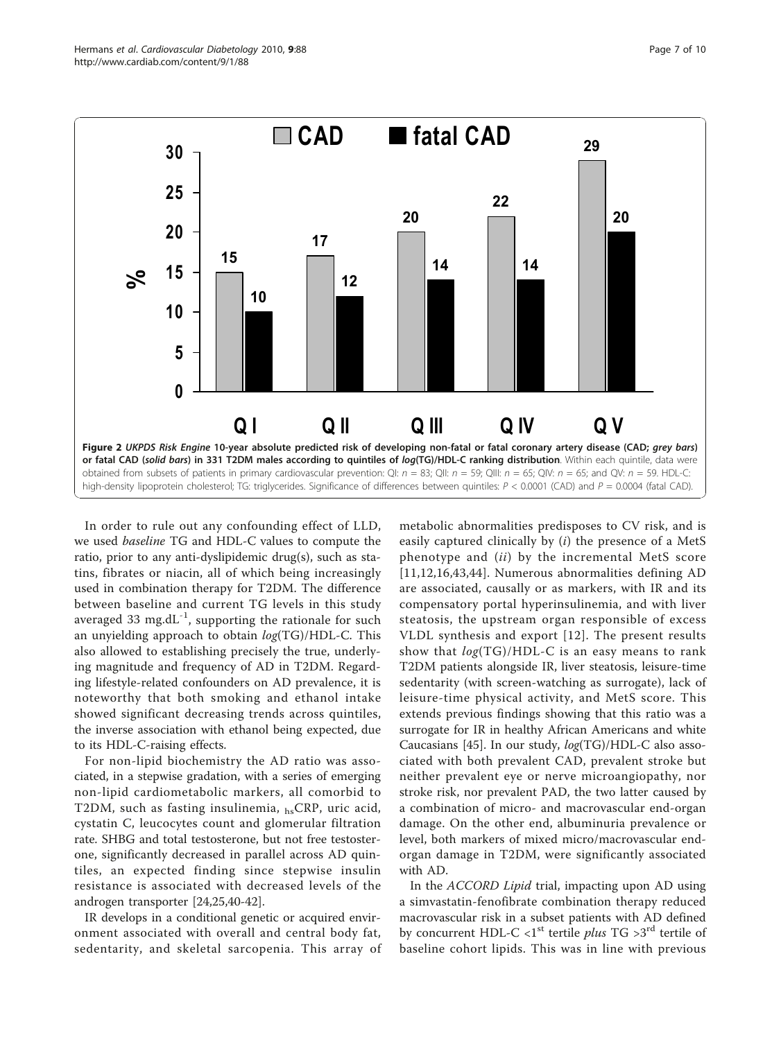<span id="page-6-0"></span>

In order to rule out any confounding effect of LLD, we used baseline TG and HDL-C values to compute the ratio, prior to any anti-dyslipidemic drug(s), such as statins, fibrates or niacin, all of which being increasingly used in combination therapy for T2DM. The difference between baseline and current TG levels in this study averaged 33 mg.dL $^{-1}$ , supporting the rationale for such an unyielding approach to obtain log(TG)/HDL-C. This also allowed to establishing precisely the true, underlying magnitude and frequency of AD in T2DM. Regarding lifestyle-related confounders on AD prevalence, it is noteworthy that both smoking and ethanol intake showed significant decreasing trends across quintiles, the inverse association with ethanol being expected, due to its HDL-C-raising effects.

For non-lipid biochemistry the AD ratio was associated, in a stepwise gradation, with a series of emerging non-lipid cardiometabolic markers, all comorbid to T2DM, such as fasting insulinemia, hsCRP, uric acid, cystatin C, leucocytes count and glomerular filtration rate. SHBG and total testosterone, but not free testosterone, significantly decreased in parallel across AD quintiles, an expected finding since stepwise insulin resistance is associated with decreased levels of the androgen transporter [[24,25,40-42\]](#page-8-0).

IR develops in a conditional genetic or acquired environment associated with overall and central body fat, sedentarity, and skeletal sarcopenia. This array of metabolic abnormalities predisposes to CV risk, and is easily captured clinically by  $(i)$  the presence of a MetS phenotype and *(ii)* by the incremental MetS score [[11](#page-8-0),[12,16,43,44](#page-8-0)]. Numerous abnormalities defining AD are associated, causally or as markers, with IR and its compensatory portal hyperinsulinemia, and with liver steatosis, the upstream organ responsible of excess VLDL synthesis and export [[12](#page-8-0)]. The present results show that  $log(TG)/HDL-C$  is an easy means to rank T2DM patients alongside IR, liver steatosis, leisure-time sedentarity (with screen-watching as surrogate), lack of leisure-time physical activity, and MetS score. This extends previous findings showing that this ratio was a surrogate for IR in healthy African Americans and white Caucasians [[45\]](#page-8-0). In our study, log(TG)/HDL-C also associated with both prevalent CAD, prevalent stroke but neither prevalent eye or nerve microangiopathy, nor stroke risk, nor prevalent PAD, the two latter caused by a combination of micro- and macrovascular end-organ damage. On the other end, albuminuria prevalence or level, both markers of mixed micro/macrovascular endorgan damage in T2DM, were significantly associated with AD.

In the ACCORD Lipid trial, impacting upon AD using a simvastatin-fenofibrate combination therapy reduced macrovascular risk in a subset patients with AD defined by concurrent HDL-C  $\langle 1^{st}$  tertile plus TG  $>3^{rd}$  tertile of baseline cohort lipids. This was in line with previous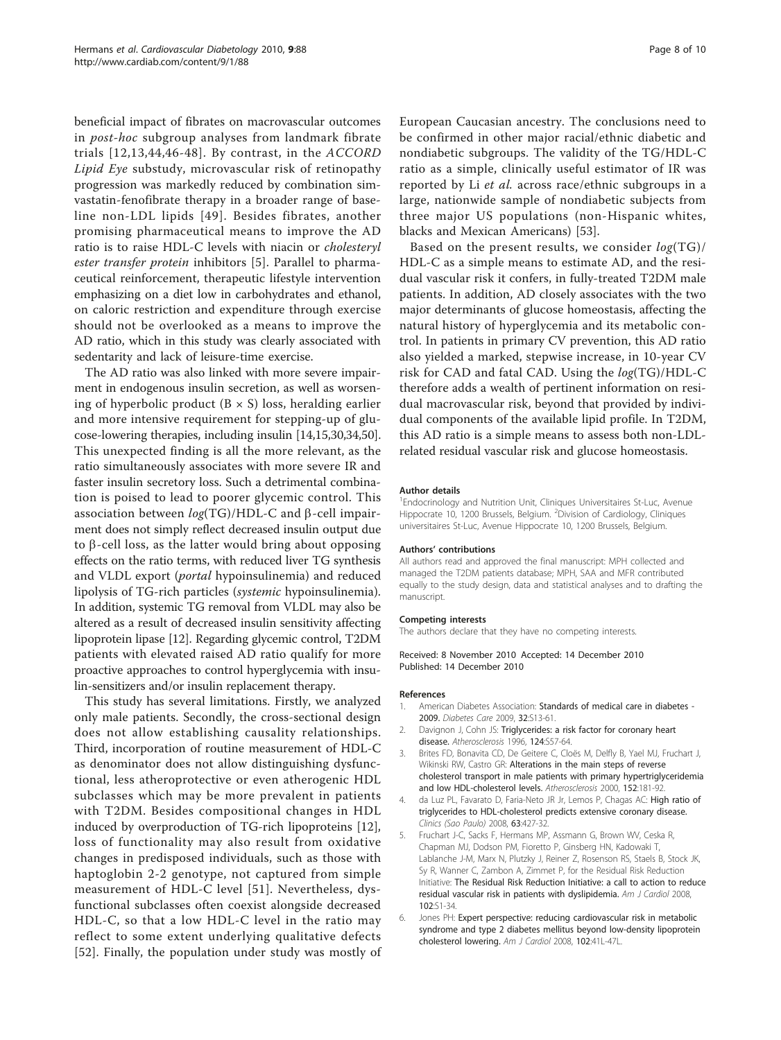<span id="page-7-0"></span>beneficial impact of fibrates on macrovascular outcomes in post-hoc subgroup analyses from landmark fibrate trials [[12](#page-8-0),[13](#page-8-0),[44,](#page-8-0)[46-48](#page-9-0)]. By contrast, in the ACCORD Lipid Eye substudy, microvascular risk of retinopathy progression was markedly reduced by combination simvastatin-fenofibrate therapy in a broader range of baseline non-LDL lipids [[49](#page-9-0)]. Besides fibrates, another promising pharmaceutical means to improve the AD ratio is to raise HDL-C levels with niacin or cholesteryl ester transfer protein inhibitors [5]. Parallel to pharmaceutical reinforcement, therapeutic lifestyle intervention emphasizing on a diet low in carbohydrates and ethanol, on caloric restriction and expenditure through exercise should not be overlooked as a means to improve the AD ratio, which in this study was clearly associated with sedentarity and lack of leisure-time exercise.

The AD ratio was also linked with more severe impairment in endogenous insulin secretion, as well as worsening of hyperbolic product  $(B \times S)$  loss, heralding earlier and more intensive requirement for stepping-up of glucose-lowering therapies, including insulin [[14,15,30,34,](#page-8-0)[50](#page-9-0)]. This unexpected finding is all the more relevant, as the ratio simultaneously associates with more severe IR and faster insulin secretory loss. Such a detrimental combination is poised to lead to poorer glycemic control. This association between  $log(TG)/HDL-C$  and  $\beta$ -cell impairment does not simply reflect decreased insulin output due to  $\beta$ -cell loss, as the latter would bring about opposing effects on the ratio terms, with reduced liver TG synthesis and VLDL export (portal hypoinsulinemia) and reduced lipolysis of TG-rich particles (systemic hypoinsulinemia). In addition, systemic TG removal from VLDL may also be altered as a result of decreased insulin sensitivity affecting lipoprotein lipase [[12](#page-8-0)]. Regarding glycemic control, T2DM patients with elevated raised AD ratio qualify for more proactive approaches to control hyperglycemia with insulin-sensitizers and/or insulin replacement therapy.

This study has several limitations. Firstly, we analyzed only male patients. Secondly, the cross-sectional design does not allow establishing causality relationships. Third, incorporation of routine measurement of HDL-C as denominator does not allow distinguishing dysfunctional, less atheroprotective or even atherogenic HDL subclasses which may be more prevalent in patients with T2DM. Besides compositional changes in HDL induced by overproduction of TG-rich lipoproteins [\[12](#page-8-0)], loss of functionality may also result from oxidative changes in predisposed individuals, such as those with haptoglobin 2-2 genotype, not captured from simple measurement of HDL-C level [[51\]](#page-9-0). Nevertheless, dysfunctional subclasses often coexist alongside decreased HDL-C, so that a low HDL-C level in the ratio may reflect to some extent underlying qualitative defects [[52](#page-9-0)]. Finally, the population under study was mostly of European Caucasian ancestry. The conclusions need to be confirmed in other major racial/ethnic diabetic and nondiabetic subgroups. The validity of the TG/HDL-C ratio as a simple, clinically useful estimator of IR was reported by Li et al. across race/ethnic subgroups in a large, nationwide sample of nondiabetic subjects from three major US populations (non-Hispanic whites, blacks and Mexican Americans) [\[53](#page-9-0)].

Based on the present results, we consider  $log(TG)/$ HDL-C as a simple means to estimate AD, and the residual vascular risk it confers, in fully-treated T2DM male patients. In addition, AD closely associates with the two major determinants of glucose homeostasis, affecting the natural history of hyperglycemia and its metabolic control. In patients in primary CV prevention, this AD ratio also yielded a marked, stepwise increase, in 10-year CV risk for CAD and fatal CAD. Using the log(TG)/HDL-C therefore adds a wealth of pertinent information on residual macrovascular risk, beyond that provided by individual components of the available lipid profile. In T2DM, this AD ratio is a simple means to assess both non-LDLrelated residual vascular risk and glucose homeostasis.

#### Author details

<sup>1</sup> Endocrinology and Nutrition Unit, Cliniques Universitaires St-Luc, Avenue Hippocrate 10, 1200 Brussels, Belgium. <sup>2</sup> Division of Cardiology, Cliniques universitaires St-Luc, Avenue Hippocrate 10, 1200 Brussels, Belgium.

#### Authors' contributions

All authors read and approved the final manuscript: MPH collected and managed the T2DM patients database; MPH, SAA and MFR contributed equally to the study design, data and statistical analyses and to drafting the manuscript.

#### Competing interests

The authors declare that they have no competing interests.

Received: 8 November 2010 Accepted: 14 December 2010 Published: 14 December 2010

#### References

- 1. American Diabetes Association: [Standards of medical care in diabetes -](http://www.ncbi.nlm.nih.gov/pubmed/19118286?dopt=Abstract) [2009.](http://www.ncbi.nlm.nih.gov/pubmed/19118286?dopt=Abstract) Diabetes Care 2009, 32:S13-61.
- 2. Davignon J, Cohn JS: [Triglycerides: a risk factor for coronary heart](http://www.ncbi.nlm.nih.gov/pubmed/8831917?dopt=Abstract) [disease.](http://www.ncbi.nlm.nih.gov/pubmed/8831917?dopt=Abstract) Atherosclerosis 1996, 124:S57-64.
- 3. Brites FD, Bonavita CD, De Geitere C, Cloës M, Delfly B, Yael MJ, Fruchart J, Wikinski RW, Castro GR: [Alterations in the main steps of reverse](http://www.ncbi.nlm.nih.gov/pubmed/10996354?dopt=Abstract) [cholesterol transport in male patients with primary hypertriglyceridemia](http://www.ncbi.nlm.nih.gov/pubmed/10996354?dopt=Abstract) [and low HDL-cholesterol levels.](http://www.ncbi.nlm.nih.gov/pubmed/10996354?dopt=Abstract) Atherosclerosis 2000, 152:181-92.
- 4. da Luz PL, Favarato D, Faria-Neto JR Jr, Lemos P, Chagas AC: [High ratio of](http://www.ncbi.nlm.nih.gov/pubmed/18719750?dopt=Abstract) [triglycerides to HDL-cholesterol predicts extensive coronary disease.](http://www.ncbi.nlm.nih.gov/pubmed/18719750?dopt=Abstract) Clinics (Sao Paulo) 2008, 63:427-32.
- 5. Fruchart J-C, Sacks F, Hermans MP, Assmann G, Brown WV, Ceska R, Chapman MJ, Dodson PM, Fioretto P, Ginsberg HN, Kadowaki T, Lablanche J-M, Marx N, Plutzky J, Reiner Z, Rosenson RS, Staels B, Stock JK, Sy R, Wanner C, Zambon A, Zimmet P, for the Residual Risk Reduction Initiative: The Residual Risk Reduction Initiative: a call to action to reduce residual vascular risk in patients with dyslipidemia. Am J Cardiol 2008, 102:S1-34.
- 6. Jones PH: [Expert perspective: reducing cardiovascular risk in metabolic](http://www.ncbi.nlm.nih.gov/pubmed/19084089?dopt=Abstract) [syndrome and type 2 diabetes mellitus beyond low-density lipoprotein](http://www.ncbi.nlm.nih.gov/pubmed/19084089?dopt=Abstract) [cholesterol lowering.](http://www.ncbi.nlm.nih.gov/pubmed/19084089?dopt=Abstract) Am J Cardiol 2008, 102:41L-47L.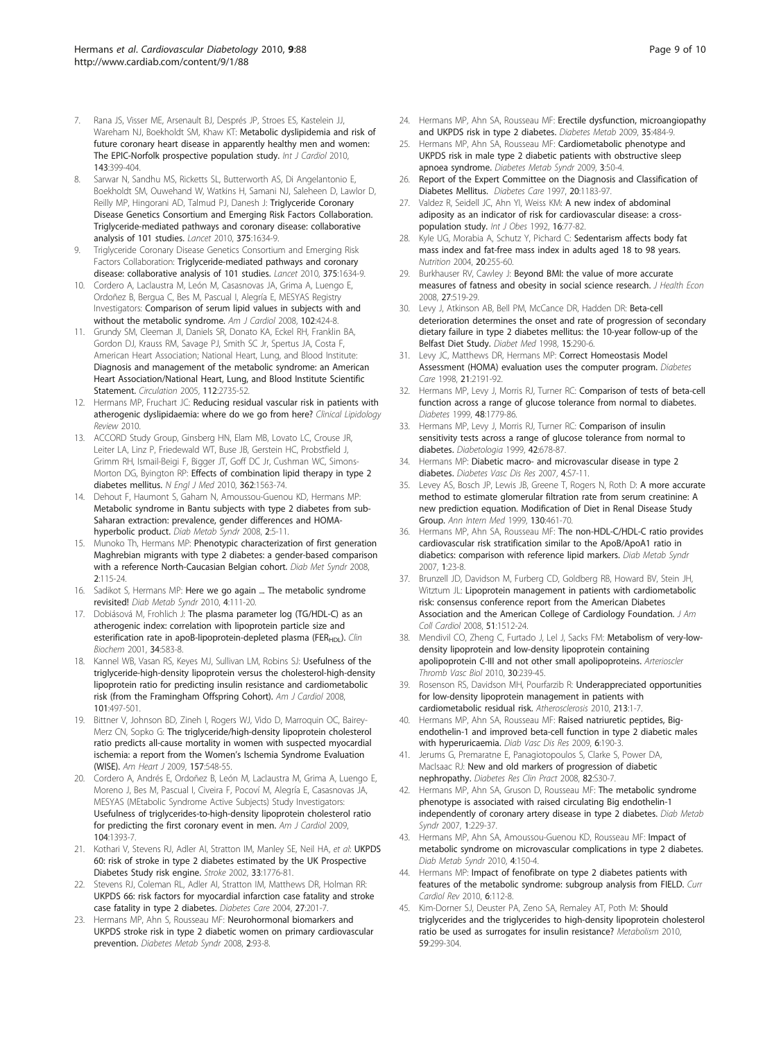- <span id="page-8-0"></span>7. Rana JS, Visser ME, Arsenault BJ, Després JP, Stroes ES, Kastelein JJ, Wareham NJ, Boekholdt SM, Khaw KT: [Metabolic dyslipidemia and risk of](http://www.ncbi.nlm.nih.gov/pubmed/19394708?dopt=Abstract) [future coronary heart disease in apparently healthy men and women:](http://www.ncbi.nlm.nih.gov/pubmed/19394708?dopt=Abstract) [The EPIC-Norfolk prospective population study.](http://www.ncbi.nlm.nih.gov/pubmed/19394708?dopt=Abstract) Int J Cardiol 2010, 143:399-404.
- Sarwar N, Sandhu MS, Ricketts SL, Butterworth AS, Di Angelantonio E, Boekholdt SM, Ouwehand W, Watkins H, Samani NJ, Saleheen D, Lawlor D, Reilly MP, Hingorani AD, Talmud PJ, Danesh J: [Triglyceride Coronary](http://www.ncbi.nlm.nih.gov/pubmed/20452521?dopt=Abstract) [Disease Genetics Consortium and Emerging Risk Factors Collaboration.](http://www.ncbi.nlm.nih.gov/pubmed/20452521?dopt=Abstract) [Triglyceride-mediated pathways and coronary disease: collaborative](http://www.ncbi.nlm.nih.gov/pubmed/20452521?dopt=Abstract) [analysis of 101 studies.](http://www.ncbi.nlm.nih.gov/pubmed/20452521?dopt=Abstract) Lancet 2010, 375:1634-9.
- 9. Triglyceride Coronary Disease Genetics Consortium and Emerging Risk Factors Collaboration: [Triglyceride-mediated pathways and coronary](http://www.ncbi.nlm.nih.gov/pubmed/20452521?dopt=Abstract) [disease: collaborative analysis of 101 studies.](http://www.ncbi.nlm.nih.gov/pubmed/20452521?dopt=Abstract) Lancet 2010, 375:1634-9.
- 10. Cordero A, Laclaustra M, León M, Casasnovas JA, Grima A, Luengo E, Ordoñez B, Bergua C, Bes M, Pascual I, Alegría E, MESYAS Registry Investigators: [Comparison of serum lipid values in subjects with and](http://www.ncbi.nlm.nih.gov/pubmed/18678299?dopt=Abstract) [without the metabolic syndrome.](http://www.ncbi.nlm.nih.gov/pubmed/18678299?dopt=Abstract) Am J Cardiol 2008, 102:424-8.
- 11. Grundy SM, Cleeman JI, Daniels SR, Donato KA, Eckel RH, Franklin BA, Gordon DJ, Krauss RM, Savage PJ, Smith SC Jr, Spertus JA, Costa F, American Heart Association; National Heart, Lung, and Blood Institute: [Diagnosis and management of the metabolic syndrome: an American](http://www.ncbi.nlm.nih.gov/pubmed/16157765?dopt=Abstract) [Heart Association/National Heart, Lung, and Blood Institute Scientific](http://www.ncbi.nlm.nih.gov/pubmed/16157765?dopt=Abstract) [Statement.](http://www.ncbi.nlm.nih.gov/pubmed/16157765?dopt=Abstract) Circulation 2005, 112:2735-52.
- 12. Hermans MP, Fruchart JC: Reducing residual vascular risk in patients with atherogenic dyslipidaemia: where do we go from here? Clinical Lipidology Review 2010.
- 13. ACCORD Study Group, Ginsberg HN, Elam MB, Lovato LC, Crouse JR, Leiter LA, Linz P, Friedewald WT, Buse JB, Gerstein HC, Probstfield J, Grimm RH, Ismail-Beigi F, Bigger JT, Goff DC Jr, Cushman WC, Simons-Morton DG, Byington RP: [Effects of combination lipid therapy in type 2](http://www.ncbi.nlm.nih.gov/pubmed/20228404?dopt=Abstract) [diabetes mellitus.](http://www.ncbi.nlm.nih.gov/pubmed/20228404?dopt=Abstract) N Engl J Med 2010, 362:1563-74.
- 14. Dehout F, Haumont S, Gaham N, Amoussou-Guenou KD, Hermans MP: Metabolic syndrome in Bantu subjects with type 2 diabetes from sub-Saharan extraction: prevalence, gender differences and HOMAhyperbolic product. Diab Metab Syndr 2008, 2:5-11.
- 15. Munoko Th, Hermans MP: Phenotypic characterization of first generation Maghrebian migrants with type 2 diabetes: a gender-based comparison with a reference North-Caucasian Belgian cohort. Diab Met Syndr 2008, 2:115-24.
- 16. Sadikot S, Hermans MP: Here we go again ... The metabolic syndrome revisited! Diab Metab Syndr 2010, 4:111-20.
- 17. Dobiásová M, Frohlich J: [The plasma parameter log \(TG/HDL-C\) as an](http://www.ncbi.nlm.nih.gov/pubmed/11738396?dopt=Abstract) [atherogenic index: correlation with lipoprotein particle size and](http://www.ncbi.nlm.nih.gov/pubmed/11738396?dopt=Abstract) esterification rate in apoB-lipoprotein-depleted plasma (FER<sub>HDL</sub>). Clin Biochem 2001, 34:583-8.
- 18. Kannel WB, Vasan RS, Keyes MJ, Sullivan LM, Robins SJ: [Usefulness of the](http://www.ncbi.nlm.nih.gov/pubmed/18312765?dopt=Abstract) [triglyceride-high-density lipoprotein versus the cholesterol-high-density](http://www.ncbi.nlm.nih.gov/pubmed/18312765?dopt=Abstract) [lipoprotein ratio for predicting insulin resistance and cardiometabolic](http://www.ncbi.nlm.nih.gov/pubmed/18312765?dopt=Abstract) [risk \(from the Framingham Offspring Cohort\).](http://www.ncbi.nlm.nih.gov/pubmed/18312765?dopt=Abstract) Am J Cardiol 2008, 101:497-501.
- 19. Bittner V, Johnson BD, Zineh I, Rogers WJ, Vido D, Marroquin OC, Bairey-Merz CN, Sopko G: [The triglyceride/high-density lipoprotein cholesterol](http://www.ncbi.nlm.nih.gov/pubmed/19249427?dopt=Abstract) [ratio predicts all-cause mortality in women with suspected myocardial](http://www.ncbi.nlm.nih.gov/pubmed/19249427?dopt=Abstract) [ischemia: a report from the Women](http://www.ncbi.nlm.nih.gov/pubmed/19249427?dopt=Abstract)'s Ischemia Syndrome Evaluation [\(WISE\).](http://www.ncbi.nlm.nih.gov/pubmed/19249427?dopt=Abstract) Am Heart J 2009, 157:548-55.
- 20. Cordero A, Andrés E, Ordoñez B, León M, Laclaustra M, Grima A, Luengo E, Moreno J, Bes M, Pascual I, Civeira F, Pocoví M, Alegría E, Casasnovas JA, MESYAS (MEtabolic Syndrome Active Subjects) Study Investigators: [Usefulness of triglycerides-to-high-density lipoprotein cholesterol ratio](http://www.ncbi.nlm.nih.gov/pubmed/19892056?dopt=Abstract) [for predicting the first coronary event in men.](http://www.ncbi.nlm.nih.gov/pubmed/19892056?dopt=Abstract) Am J Cardiol 2009, 104:1393-7.
- 21. Kothari V, Stevens RJ, Adler AI, Stratton IM, Manley SE, Neil HA, et al: [UKPDS](http://www.ncbi.nlm.nih.gov/pubmed/12105351?dopt=Abstract) [60: risk of stroke in type 2 diabetes estimated by the UK Prospective](http://www.ncbi.nlm.nih.gov/pubmed/12105351?dopt=Abstract) [Diabetes Study risk engine.](http://www.ncbi.nlm.nih.gov/pubmed/12105351?dopt=Abstract) Stroke 2002, 33:1776-81.
- 22. Stevens RJ, Coleman RL, Adler AI, Stratton IM, Matthews DR, Holman RR: [UKPDS 66: risk factors for myocardial infarction case fatality and stroke](http://www.ncbi.nlm.nih.gov/pubmed/14693990?dopt=Abstract) [case fatality in type 2 diabetes.](http://www.ncbi.nlm.nih.gov/pubmed/14693990?dopt=Abstract) Diabetes Care 2004, 27:201-7.
- 23. Hermans MP, Ahn S, Rousseau MF: Neurohormonal biomarkers and UKPDS stroke risk in type 2 diabetic women on primary cardiovascular prevention. Diabetes Metab Syndr 2008, 2:93-8.
- 24. Hermans MP, Ahn SA, Rousseau MF: [Erectile dysfunction, microangiopathy](http://www.ncbi.nlm.nih.gov/pubmed/19897395?dopt=Abstract) [and UKPDS risk in type 2 diabetes.](http://www.ncbi.nlm.nih.gov/pubmed/19897395?dopt=Abstract) Diabetes Metab 2009, 35:484-9.
- 25. Hermans MP, Ahn SA, Rousseau MF: Cardiometabolic phenotype and UKPDS risk in male type 2 diabetic patients with obstructive sleep apnoea syndrome. Diabetes Metab Syndr 2009, 3:50-4.
- 26. Report of the Expert Committee on the Diagnosis and Classification of Diabetes Mellitus. Diabetes Care 1997, 20:1183-97.
- 27. Valdez R, Seidell JC, Ahn YI, Weiss KM: A new index of abdominal adiposity as an indicator of risk for cardiovascular disease: a crosspopulation study. Int J Obes 1992, 16:77-82.
- 28. Kyle UG, Morabia A, Schutz Y, Pichard C: [Sedentarism affects body fat](http://www.ncbi.nlm.nih.gov/pubmed/14990265?dopt=Abstract) [mass index and fat-free mass index in adults aged 18 to 98 years.](http://www.ncbi.nlm.nih.gov/pubmed/14990265?dopt=Abstract) Nutrition 2004, 20:255-60.
- 29. Burkhauser RV, Cawley J: [Beyond BMI: the value of more accurate](http://www.ncbi.nlm.nih.gov/pubmed/18166236?dopt=Abstract) [measures of fatness and obesity in social science research.](http://www.ncbi.nlm.nih.gov/pubmed/18166236?dopt=Abstract) J Health Econ 2008, 27:519-29.
- 30. Levy J, Atkinson AB, Bell PM, McCance DR, Hadden DR: [Beta-cell](http://www.ncbi.nlm.nih.gov/pubmed/9585393?dopt=Abstract) [deterioration determines the onset and rate of progression of secondary](http://www.ncbi.nlm.nih.gov/pubmed/9585393?dopt=Abstract) [dietary failure in type 2 diabetes mellitus: the 10-year follow-up of the](http://www.ncbi.nlm.nih.gov/pubmed/9585393?dopt=Abstract) [Belfast Diet Study.](http://www.ncbi.nlm.nih.gov/pubmed/9585393?dopt=Abstract) Diabet Med 1998, 15:290-6.
- 31. Levy JC, Matthews DR, Hermans MP: [Correct Homeostasis Model](http://www.ncbi.nlm.nih.gov/pubmed/9839117?dopt=Abstract) [Assessment \(HOMA\) evaluation uses the computer program.](http://www.ncbi.nlm.nih.gov/pubmed/9839117?dopt=Abstract) Diabetes Care 1998, 21:2191-92.
- 32. Hermans MP, Levy J, Morris RJ, Turner RC: [Comparison of tests of beta-cell](http://www.ncbi.nlm.nih.gov/pubmed/10480608?dopt=Abstract) [function across a range of glucose tolerance from normal to diabetes.](http://www.ncbi.nlm.nih.gov/pubmed/10480608?dopt=Abstract) Diabetes 1999, 48:1779-86.
- 33. Hermans MP, Levy J, Morris RJ, Turner RC: [Comparison of insulin](http://www.ncbi.nlm.nih.gov/pubmed/10382587?dopt=Abstract) [sensitivity tests across a range of glucose tolerance from normal to](http://www.ncbi.nlm.nih.gov/pubmed/10382587?dopt=Abstract) [diabetes.](http://www.ncbi.nlm.nih.gov/pubmed/10382587?dopt=Abstract) Diabetologia 1999, 42:678-87.
- 34. Hermans MP: Diabetic macro- and microvascular disease in type 2 diabetes. Diabetes Vasc Dis Res 2007, 4:S7-11.
- 35. Levey AS, Bosch JP, Lewis JB, Greene T, Rogers N, Roth D: [A more accurate](http://www.ncbi.nlm.nih.gov/pubmed/10075613?dopt=Abstract) [method to estimate glomerular filtration rate from serum creatinine: A](http://www.ncbi.nlm.nih.gov/pubmed/10075613?dopt=Abstract) [new prediction equation. Modification of Diet in Renal Disease Study](http://www.ncbi.nlm.nih.gov/pubmed/10075613?dopt=Abstract) [Group.](http://www.ncbi.nlm.nih.gov/pubmed/10075613?dopt=Abstract) Ann Intern Med 1999, 130:461-70.
- 36. Hermans MP, Ahn SA, Rousseau MF: The non-HDL-C/HDL-C ratio provides cardiovascular risk stratification similar to the ApoB/ApoA1 ratio in diabetics: comparison with reference lipid markers. Diab Metab Syndr 2007, 1:23-8.
- 37. Brunzell JD, Davidson M, Furberg CD, Goldberg RB, Howard BV, Stein JH, Witztum JL: [Lipoprotein management in patients with cardiometabolic](http://www.ncbi.nlm.nih.gov/pubmed/18402913?dopt=Abstract) [risk: consensus conference report from the American Diabetes](http://www.ncbi.nlm.nih.gov/pubmed/18402913?dopt=Abstract) [Association and the American College of Cardiology Foundation.](http://www.ncbi.nlm.nih.gov/pubmed/18402913?dopt=Abstract) J Am Coll Cardiol 2008, 51:1512-24.
- 38. Mendivil CO, Zheng C, Furtado J, Lel J, Sacks FM: [Metabolism of very-low](http://www.ncbi.nlm.nih.gov/pubmed/19910636?dopt=Abstract)[density lipoprotein and low-density lipoprotein containing](http://www.ncbi.nlm.nih.gov/pubmed/19910636?dopt=Abstract) [apolipoprotein C-III and not other small apolipoproteins.](http://www.ncbi.nlm.nih.gov/pubmed/19910636?dopt=Abstract) Arterioscler Thromb Vasc Biol 2010, 30:239-45.
- 39. Rosenson RS, Davidson MH, Pourfarzib R: [Underappreciated opportunities](http://www.ncbi.nlm.nih.gov/pubmed/20451205?dopt=Abstract) [for low-density lipoprotein management in patients with](http://www.ncbi.nlm.nih.gov/pubmed/20451205?dopt=Abstract) [cardiometabolic residual risk.](http://www.ncbi.nlm.nih.gov/pubmed/20451205?dopt=Abstract) Atherosclerosis 2010, 213:1-7.
- 40. Hermans MP, Ahn SA, Rousseau MF: [Raised natriuretic peptides, Big](http://www.ncbi.nlm.nih.gov/pubmed/20368210?dopt=Abstract)[endothelin-1 and improved beta-cell function in type 2 diabetic males](http://www.ncbi.nlm.nih.gov/pubmed/20368210?dopt=Abstract) [with hyperuricaemia.](http://www.ncbi.nlm.nih.gov/pubmed/20368210?dopt=Abstract) Diab Vasc Dis Res 2009, 6:190-3.
- 41. Jerums G, Premaratne E, Panagiotopoulos S, Clarke S, Power DA, MacIsaac RJ: [New and old markers of progression of diabetic](http://www.ncbi.nlm.nih.gov/pubmed/18937992?dopt=Abstract) [nephropathy.](http://www.ncbi.nlm.nih.gov/pubmed/18937992?dopt=Abstract) Diabetes Res Clin Pract 2008, 82:S30-7.
- 42. Hermans MP, Ahn SA, Gruson D, Rousseau MF: The metabolic syndrome phenotype is associated with raised circulating Big endothelin-1 independently of coronary artery disease in type 2 diabetes. Diab Metab Syndr 2007, 1:229-37.
- 43. Hermans MP, Ahn SA, Amoussou-Guenou KD, Rousseau MF: Impact of metabolic syndrome on microvascular complications in type 2 diabetes. Diab Metab Syndr 2010, 4:150-4.
- 44. Hermans MP: Impact of fenofibrate on type 2 diabetes patients with features of the metabolic syndrome: subgroup analysis from FIELD. Curr Cardiol Rev 2010, 6:112-8.
- 45. Kim-Dorner SJ, Deuster PA, Zeno SA, Remaley AT, Poth M: [Should](http://www.ncbi.nlm.nih.gov/pubmed/19796777?dopt=Abstract) [triglycerides and the triglycerides to high-density lipoprotein cholesterol](http://www.ncbi.nlm.nih.gov/pubmed/19796777?dopt=Abstract) [ratio be used as surrogates for insulin resistance?](http://www.ncbi.nlm.nih.gov/pubmed/19796777?dopt=Abstract) Metabolism 2010, 59:299-304.